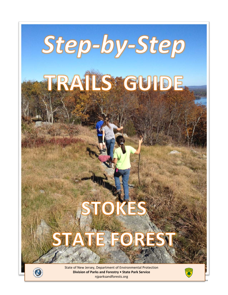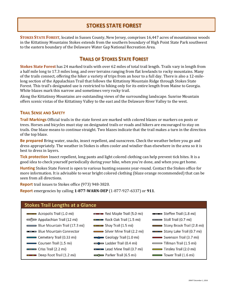# **STOKES STATE FOREST**

**STOKES STATE FOREST**, located in Sussex County, New Jersey, comprises 16,447 acres of mountainous woods in the Kittatinny Mountains Stokes extends from the southern boundary of High Point State Park southwest to the eastern boundary of the Delaware Water Gap National Recreation Area.

### **TRAILS OF STOKES STATE FOREST**

**Stokes State Forest** has 24 marked trails with over 62 miles of total trail length. Trails vary in length from a half mile long to 17.3 miles long, and over terrains ranging from flat lowlands to rocky mountains. Many of the trails connect, offering the hiker a variety of trips from an hour to a full day. There is also a 12-milelong section of the Appalachian Trail that follows the Kittatinny Mountain Ridge through Stokes State Forest. This trail's designated use is restricted to hiking only for its entire length from Maine to Georgia. White blazes mark this narrow and sometimes very rocky trail.

Along the Kittatinny Mountains are outstanding views of the surrounding landscape. Sunrise Mountain offers scenic vistas of the Kittatinny Valley to the east and the Delaware River Valley to the west.

#### **TRAIL SENSE AND SAFETY**

**Trail Markings** Official trails in the state forest are marked with colored blazes or markers on posts or trees. Horses and bicycles must stay on designated trails or roads and hikers are encouraged to stay on trails. One blaze means to continue straight. Two blazes indicate that the trail makes a turn in the direction of the top blaze.

**Be prepared** Bring water, snacks, insect repellent, and sunscreen. Check the weather before you go and dress appropriately. The weather in Stokes is often cooler and windier than elsewhere in the area so it is best to dress in layers.

**Tick protection** Insect repellent, long pants and light colored clothing can help prevent tick bites. It is a good idea to check yourself periodically during your hike, when you're done, and when you get home.

**Hunting** Stokes State Forest is open to various hunting seasons year-round. Contact the Stokes office for more information. It is advisable to wear bright colored clothing (blaze orange recommended) that can be seen from all directions.

**Report** trail issues to Stokes office (973) 948-3820.

**Report** emergencies by calling **1-877-WARN-DEP** (1-877-927-6337) or **911**.

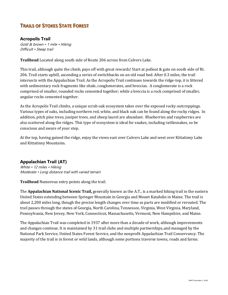## **TRAILS OF STOKES STATE FOREST**

#### **Acropolis Trail**

Gold & brown • 1 mile • Hiking Difficult • Steep trail

**Trailhead** Located along south side of Route 206 across from Culvers Lake.

This trail, although quite the climb, pays off with great rewards! Start at pullout & gate on south side of Rt. 206. Trail starts uphill, ascending a series of switchbacks on an old road bed. After 0.3 miles, the trail intersects with the Appalachian Trail. As the Acropolis Trail continues towards the ridge-top, it is littered with sedimentary rock fragments like shale, conglomerates, and breccias. A conglomerate is a rock comprised of smaller, rounded rocks cemented together; while a breccia is a rock comprised of smaller, angular rocks cemented together.

As the Acropolis Trail climbs, a unique scrub oak ecosystem takes over the exposed rocky outcroppings. Various types of oaks, including northern red, white, and black oak can be found along the rocky ridges. In addition, pitch pine trees, juniper trees, and sheep laurel are abundant. Blueberries and raspberries are also scattered along the ridges. This type of ecosystem is ideal for snakes, including rattlesnakes, so be conscious and aware of your step.

At the top, having gained the ridge, enjoy the views east over Culvers Lake and west over Kittatinny Lake and Kittatinny Mountains.

#### **Appalachian Trail (AT)**

White • 12 miles • Hiking Moderate • Long distance trail with varied terrain

**Trailhead** Numerous entry points along the trail.

The **Appalachian National Scenic Trail,** generally known as the A.T., is a marked hiking trail in the eastern United States extending between Springer Mountain in Georgia and Mount Katahdin in Maine. The trail is about 2,200 miles long, though the precise length changes over time as parts are modified or rerouted. The trail passes through the states of Georgia, North Carolina, Tennessee, Virginia, West Virginia, Maryland, Pennsylvania, New Jersey, New York, Connecticut, Massachusetts, Vermont, New Hampshire, and Maine.

The Appalachian Trail was completed in 1937 after more than a decade of work, although improvements and changes continue. It is maintained by 31 trail clubs and multiple partnerships, and managed by the National Park Service, United States Forest Service, and the nonprofit Appalachian Trail Conservancy. The majority of the trail is in forest or wild lands, although some portions traverse towns, roads and farms.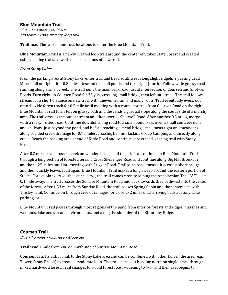#### **Blue Mountain Trail**

Blue • 17.3 miles • Multi-use Moderate • Long-distance loop trail

**Trailhead** There are numerous locations to enter the Blue Mountain Trail.

**Blue Mountain Trail** is a newly created loop trail around the center of Stokes State Forest and created using existing trails, as well as short sections of new trail.

#### *From Stony Lake:*

From the parking area at Stony Lake, enter trail and head southwest along slight ridgeline passing Lead Mine Trail on right after 0.8 miles. Descend to small ponds and turn right (north). Follow wide grassy road running along a small creek. The trail joins the main park road just at intersection of Coursen and Shotwell Roads. Turn right on Coursen Road for 25 yds., crossing small bridge, then left into trees. The trail follows stream for a short distance on new trail, with uneven terrain and many roots. Trail eventually evens out onto 4'-wide forest track for 0.5 mile until meeting with a connector trail from Coursen Road on the right. Blue Mountain Trail turns left on grassy path and descends a gradual slope along the south side of a marshy area. The trail crosses the outlet stream and then crosses Shotwell Road. After another 0.5 miles, merge with a rocky, rutted road. Continue downhill along road to a small pond. Pass over a small concrete dam and spillway. Just beyond the pond, and before reaching a metal bridge, trail turns right and meanders along braided creek drainage for 0.75 miles, crossing behind Haskins Group Camping and directly along creek. Reach the parking area at end of Kittle Road and continue across road, sharing trail with Stony Brook.

After 0.2 miles, trail crosses creek on wooden bridge and turns left to continue on Blue Mountain Trail through a long section of forested terrain. Cross Skellenger Road and continue along Big Flat Brook for another 1.25 miles until intersecting with Crigger Road. Trail joins road, turns left across a short bridge, and then quickly leaves road again. Blue Mountain Trail makes a long sweep around the eastern portion of Stokes Forest. Along its southeastern curve, the trail comes close to joining the Appalachian Trail (AT), just 0.1 mile away. The trail crosses the Sunrise Mountain Road and back towards the northwest into the center of the forest. After 1.33 miles from Sunrise Road, the trail passes Spring Cabin and then intersects with Tinsley Trail. Continue on through creek drainages for close to 2 miles until arriving back at Stony Lake parking lot.

Blue Mountain Trail passes through most regions of the park, from interior forests and ridges, marshes and wetlands, lake and stream environments, and along the shoulder of the Kittatinny Ridge.

#### **Coursen Trail**

Blue • 1.5 miles • Multi-use • Moderate

**Trailhead** 1 mile from 206 on north side of Sunrise Mountain Road.

**Coursen Trail** is a short link to the Stony Lake area and can be combined with other tails in the area (e.g., Tower, Stony Brook) to create a moderate loop. The trail starts out heading north on single-track through mixed hardwood forest. Trail changes to an old forest road, widening to 4-6', and then as it begins to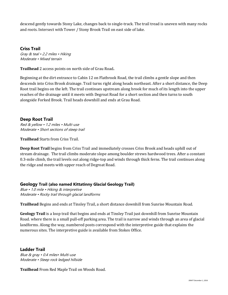descend gently towards Stony Lake, changes back to single-track. The trail tread is uneven with many rocks and roots. Intersect with Tower / Stony Brook Trail on east side of lake.

**Criss Trail** 

Gray & teal • 2.2 miles • Hiking Moderate • Mixed terrain

**Trailhead** 2 access points on north side of Grau Road**.**

Beginning at the dirt entrance to Cabin 12 on Flatbrook Road, the trail climbs a gentle slope and then descends into Criss Brook drainage. Trail turns right along heads northeast. After a short distance, the Deep Root trail begins on the left. The trail continues upstream along brook for much of its length into the upper reaches of the drainage until it meets with Degroat Road for a short section and then turns to south alongside Forked Brook. Trail heads downhill and ends at Grau Road.

#### **Deep Root Trail**

Red & yellow • 1.2 miles • Multi-use Moderate • Short sections of steep trail

**Trailhead** Starts from Criss Trail.

**Deep Root Trail** begins from Criss Trail and immediately crosses Criss Brook and heads uphill out of stream drainage. The trail climbs moderate slope among boulder strews hardwood trees. After a constant 0.3-mile climb, the trail levels out along ridge-top and winds through thick ferns. The trail continues along the ridge and meets with upper reach of Degroat Road.

#### **Geology Trail (also named Kittatinny Glacial Geology Trail)**

Blue • 1.0 mile • Hiking & interpretive Moderate • Rocky trail through glacial landforms

**Trailhead** Begins and ends at Tinsley Trail, a short distance downhill from Sunrise Mountain Road.

**Geology Trail** is a loop trail that begins and ends at Tinsley Trail just downhill from Sunrise Mountain Road. where there is a small pull-off parking area. The trail is narrow and winds through an area of glacial landforms. Along the way, numbered posts correspond with the interpretive guide that explains the numerous sites. The interpretive guide is available from Stokes Office.

#### **Ladder Trail**

Blue & gray • 0.4 miles• Multi-use Moderate • Steep rock ledged hillside

**Trailhead** From Red Maple Trail on Woods Road.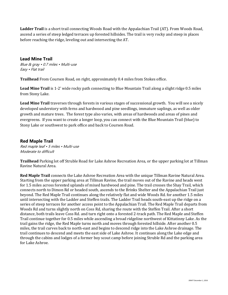**Ladder Trail** is a short trail connecting Woods Road with the Appalachian Trail (AT). From Woods Road, ascend a series of steep ledged terraces up forested hillsides. The trail is very rocky and steep in places before reaching the ridge, leveling out and intersecting the AT.

#### **Lead Mine Trail**

Blue & gray • 0.7 miles • Multi-use Easy • Flat trail

**Trailhead** From Coursen Road, on right, approximately 0.4 miles from Stokes office.

**Lead Mine Trail** is 1-2' wide rocky path connecting to Blue Mountain Trail along a slight ridge 0.5 miles from Stony Lake.

**Lead Mine Trail** traverses through forests in various stages of successional growth. You will see a nicely developed understory with ferns and hardwood and pine seedlings, immature saplings, as well as older growth and mature trees. The forest type also varies, with areas of hardwoods and areas of pines and evergreens. If you want to create a longer loop, you can connect with the Blue Mountain Trail (blue) to Stony Lake or southwest to park office and back to Coursen Road.

#### **Red Maple Trail**

Red maple leaf • 5 miles • Multi-use Moderate to difficult

**Trailhead** Parking lot off Struble Road for Lake Ashroe Recreation Area, or the upper parking lot at Tillman Ravine Natural Area.

**Red Maple Trail** connects the Lake Ashroe Recreation Area with the unique Tillman Ravine Natural Area. Starting from the upper parking area at Tillman Ravine, the trail moves out of the Ravine and heads west for 1.5 miles across forested uplands of mixed hardwood and pine. The trail crosses the Shay Trail, which connects north to Dimon Rd or headed south, ascends to the Brinks Shelter and the Appalachian Trail just beyond. The Red Maple Trail continues along the relatively flat and wide Woods Rd. for another 1.5 miles until intersecting with the Ladder and Steffen trails. The Ladder Trail heads south-east up the ridge on a series of steep terraces for another access point to the Appalachian Trail. The Red Maple Trail departs from Woods Rd and turns slightly north on Coss Rd, sharing the route with the Steffen Trail. After a short distance, both trails leave Coss Rd. and turn right onto a forested 2-track path. The Red Maple and Steffen Trail continue together for 0.5 miles while ascending a broad ridgeline northwest of Kittatinny Lake. As the trail gains the ridge, the Red Maple turns north and moves through forested hillside. After another 0.5 miles, the trail curves back to north-east and begins to descend ridge into the Lake Ashroe drainage. The trail continues to descend and meets the east side of Lake Ashroe. It continues along the Lake edge and through the cabins and lodges of a former boy scout camp before joining Struble Rd and the parking area for Lake Ashroe.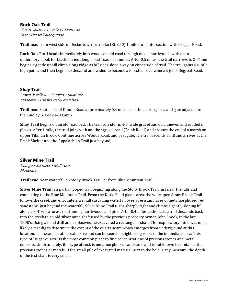#### **Rock Oak Trail**

Blue & yellow • 1.5 miles • Multi-use Easy • Flat trail along ridge

**Trailhead** from west side of Deckertown Turnpike (Rt. 650) 1 mile from intersection with Crigger Road.

**Rock Oak Trail** heads immediately into woods on old road through mixed hardwoods with open understory. Look for blackberries along forest road in summer. After 0.5 miles, the trail narrows to 2-4' and begins a gentle uphill climb along ridge as hillsides slope away on either side of trail. The trail gains a subtle high point, and then begins to descend and widen to become a forested road where it joins Degroat Road.

#### **Shay Trail**

Brown & yellow • 1.5 miles • Multi-use Moderate • Follows rocky road bed

**Trailhead** South side of Dimon Road approximately 0.4 miles past the parking area and gate adjacent to the Lindley G. Cook 4-H Camp.

**Shay Trail** begins on an old road bed. The trail corridor is 4-8' wide gravel and dirt, uneven and eroded in places. After 1 mile, the trail joins with another gravel road (Brink Road) and crosses the end of a marsh on upper Tillman Brook. Continue across Woods Road, and past gate. The trail ascends a hill and arrives at the Brink Shelter and the Appalachian Trail just beyond.

**Silver Mine Trail**  Orange • 2.2 miles • Multi-use Moderate

**Trailhead** Near waterfall on Stony Brook Trail, or from Blue Mountain Trail.

**Silver Mine Trail** is a partial looped trail beginning along the Stony Brook Trail just near the falls and connecting to the Blue Mountain Trail. From the Kittle Field picnic area, the wide open Stony Brook Trail follows the creek and encounters a small cascading waterfall over a resistant layer of metamorphosed red sandstone. Just beyond the waterfall, Silver Mine Trail turns sharply right and climbs a gently sloping hill along a 3-4' wide forest road among hardwoods and pine. After 0.4 miles, a short side trail descends back into the creek to an old silver mine shaft used by the previous property owner, John Snook, in the late 1800's. Using a hand drill and explosives, he excavated a rectangular shaft. This exploratory mine was most likely a test dig to determine the extent of the quartz seam which emerges from underground at this location. This seam is rather extensive and can be seen in neighboring rocks in the immediate area. This type of "sugar quartz" is the most common place to find concentrations of precious stones and metal deposits. Unfortunately, this type of rock is metamorphosed sandstone and is not known to contain either precious stones or metals. If the small pile of excavated material next to the hole is any measure, the depth of the test shaft is very small.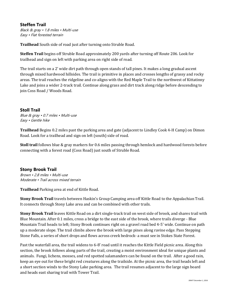#### **Steffen Trail**

Black & gray • 1.8 miles • Multi-use Easy • Flat forested terrain

**Trailhead** South side of road just after turning onto Struble Road.

**Steffen Trail** begins off Struble Road approximately 200 yards after turning off Route 206. Look for trailhead and sign on left with parking area on right side of road.

The trail starts on a 2' wide dirt path through open stands of tall pines. It makes a long gradual ascent through mixed hardwood hillsides. The trail is primitive in places and crosses lengths of grassy and rocky areas. The trail reaches the ridgeline and co-aligns with the Red Maple Trail to the northwest of Kittatinny Lake and joins a wider 2-track trail. Continue along grass and dirt track along ridge before descending to join Coss Road / Woods Road.

#### **Stoll Trail**

Blue & gray • 0.7 miles • Multi-use Easy • Gentle hike

**Trailhead** Begins 0.2 miles past the parking area and gate (adjacent to Lindley Cook 4-H Camp) on Dimon Road. Look for a trailhead and sign on left (south) side of road.

**Stoll trail** follows blue & gray markers for 0.6 miles passing through hemlock and hardwood forests before connecting with a forest road (Coss Road) just south of Struble Road.

#### **Stony Brook Trail**

Brown • 2.8 miles • Multi-use Moderate • Trail across mixed terrain

**Trailhead** Parking area at end of Kittle Road.

**Stony Brook Trail** travels between Haskin's Group Camping area off Kittle Road to the Appalachian Trail. It connects through Stony Lake area and can be combined with other trails.

**Stony Brook Trail** leaves Kittle Road on a dirt single-track trail on west side of brook, and shares trail with Blue Mountain. After 0.1 miles, cross a bridge to the east side of the brook, where trails diverge - Blue Mountain Trail heads to left; Stony Brook continues right on a gravel road bed 4-5' wide. Continue on path up a moderate slope. The trail climbs above the brook with large pines along ravine edge. Pass Stepping Stone Falls, a series of short drops and flows across creek bedrock- a must see in Stokes State Forest.

Past the waterfall area, the trail widens to 6-8' road until it reaches the Kittle Field picnic area. Along this section, the brook follows along parts of the trail, creating a moist environment ideal for unique plants and animals. Fungi, lichens, mosses, and red spotted salamanders can be found on the trail. After a good rain, keep an eye out for these bright red creatures along the trailside. At the picnic area, the trail heads left and a short section winds to the Stony Lake parking area. The trail resumes adjacent to the large sign board and heads east sharing trail with Tower Trail.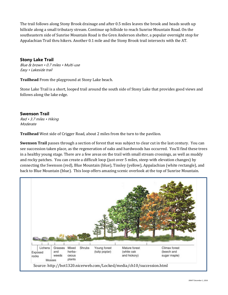The trail follows along Stony Brook drainage and after 0.5 miles leaves the brook and heads south up hillside along a small tributary stream. Continue up hillside to reach Sunrise Mountain Road. On the southeastern side of Sunrise Mountain Road is the Gren Anderson shelter, a popular overnight stop for Appalachian Trail thru hikers. Another 0.1 mile and the Stony Brook trail intersects with the AT.

#### **Stony Lake Trail**

Blue & brown • 0.7 miles • Multi-use Easy • Lakeside trail

**Trailhead** From the playground at Stony Lake beach.

Stone Lake Trail is a short, looped trail around the south side of Stony Lake that provides good views and follows along the lake edge.

### **Swenson Trail**

Red • 3.7 miles • Hiking Moderate

**Trailhead** West side of Crigger Road, about 2 miles from the turn to the pavilion.

**Swenson Trail** passes through a section of forest that was subject to clear cut in the last century. You can see succession taken place, as the regeneration of oaks and hardwoods has occurred. You'll find these trees in a healthy young stage. There are a few areas on the trail with small stream crossings, as well as muddy and rocky patches. You can create a difficult loop (just over 5 miles, steep with elevation changes) by connecting the Swenson (red), Blue Mountain (blue), Tinsley (yellow), Appalachian (white rectangle), and back to Blue Mountain (blue). This loop offers amazing scenic overlook at the top of Sunrise Mountain.

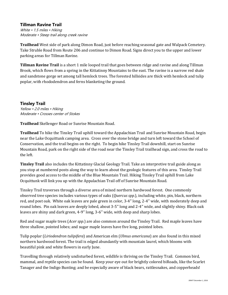#### **Tillman Ravine Trail**

White • 1.5 miles • Hiking Moderate • Steep trail along creek ravine

**Trailhead** West side of park along Dimon Road, just before reaching seasonal gate and Walpack Cemetery. Take Struble Road from Route 206 and continue to Dimon Road. Signs direct you to the upper and lower parking areas for Tillman Ravine.

**Tillman Ravine Trail** is a short 1 mile looped trail that goes between ridge and ravine and along Tillman Brook, which flows from a spring in the Kittatinny Mountains to the east. The ravine is a narrow red shale and sandstone gorge set among tall hemlock trees. The forested hillsides are thick with hemlock and tulip poplar, with rhododendron and ferns blanketing the ground.

# **Tinsley Trail**

Yellow . 2.0 miles . Hiking Moderate • Crosses center of Stokes

**Trailhead** Skellenger Road or Sunrise Mountain Road.

**Trailhead** To hike the Tinsley Trail uphill toward the Appalachian Trail and Sunrise Mountain Road, begin near the Lake Ocquittunk camping area. Cross over the stone bridge and turn left toward the School of Conservation, and the trail begins on the right. To begin hike Tinsley Trail downhill, start on Sunrise Mountain Road, park on the right side of the road near the Tinsley Trail trailhead sign, and cross the road to the left.

**Tinsley Trail** also includes the Kittatinny Glacial Geology Trail. Take an interpretive trail guide along as you stop at numbered posts along the way to learn about the geologic features of this area. Tinsley Trail provides good access to the middle of the Blue Mountain Trail. Hiking Tinsley Trail uphill from Lake Ocquittunk will link you up with the Appalachian Trail off of Sunrise Mountain Road.

Tinsley Trail traverses through a diverse area of mixed northern hardwood forest. One commonly observed tree species includes various types of oaks (*Quercus spp.*), including white, pin, black, northern red, and post oak. White oak leaves are pale green in color, 3-4'' long, 2-4'' wide, with moderately deep and round lobes. Pin oak leaves are deeply lobed, about 3-5'' long and 2-4'' wide, and slightly shiny. Black oak leaves are shiny and dark green, 4-9'' long, 3-6'' wide, with deep and sharp lobes.

Red and sugar maple trees (*Acer spp.*) are also common around the Tinsley Trail. Red maple leaves have three shallow, pointed lobes; and sugar maple leaves have five long, pointed lobes.

Tulip poplar (*Liriodendron tulipifera*) and American elm (*Ulmus americana*) are also found in this mixed northern hardwood forest. The trail is edged abundantly with mountain laurel, which blooms with beautiful pink and white flowers in early June.

Travelling through relatively undisturbed forest, wildlife is thriving on the Tinsley Trail. Common bird, mammal, and reptile species can be found. Keep your eye out for brightly colored biRoads, like the Scarlet Tanager and the Indigo Bunting; and be especially aware of black bears, rattlesnakes, and copperheads!